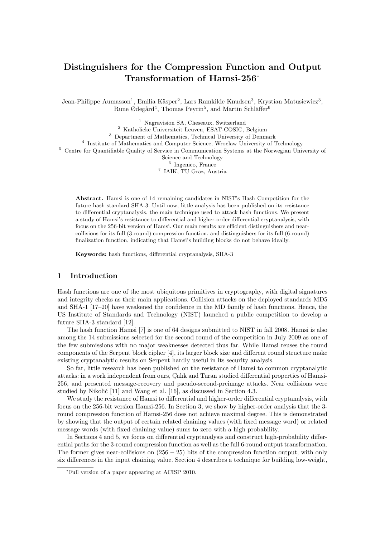# Distinguishers for the Compression Function and Output Transformation of Hamsi-256<sup>∗</sup>

Jean-Philippe Aumasson<sup>1</sup>, Emilia Käsper<sup>2</sup>, Lars Ramkilde Knudsen<sup>3</sup>, Krystian Matusiewicz<sup>3</sup>, Rune Ødegård<sup>4</sup>, Thomas Peyrin<sup>5</sup>, and Martin Schläffer<sup>6</sup>

<sup>1</sup> Nagravision SA, Cheseaux, Switzerland

<sup>2</sup> Katholieke Universiteit Leuven, ESAT-COSIC, Belgium

<sup>3</sup> Department of Mathematics, Technical University of Denmark

<sup>4</sup> Institute of Mathematics and Computer Science, Wroclaw University of Technology

<sup>5</sup> Centre for Quantifiable Quality of Service in Communication Systems at the Norwegian University of

Science and Technology

6 Ingenico, France

7 IAIK, TU Graz, Austria

Abstract. Hamsi is one of 14 remaining candidates in NIST's Hash Competition for the future hash standard SHA-3. Until now, little analysis has been published on its resistance to differential cryptanalysis, the main technique used to attack hash functions. We present a study of Hamsi's resistance to differential and higher-order differential cryptanalysis, with focus on the 256-bit version of Hamsi. Our main results are efficient distinguishers and nearcollisions for its full (3-round) compression function, and distinguishers for its full (6-round) finalization function, indicating that Hamsi's building blocks do not behave ideally.

Keywords: hash functions, differential cryptanalysis, SHA-3

## 1 Introduction

Hash functions are one of the most ubiquitous primitives in cryptography, with digital signatures and integrity checks as their main applications. Collision attacks on the deployed standards MD5 and SHA-1 [17–20] have weakened the confidence in the MD family of hash functions. Hence, the US Institute of Standards and Technology (NIST) launched a public competition to develop a future SHA-3 standard [12].

The hash function Hamsi [7] is one of 64 designs submitted to NIST in fall 2008. Hamsi is also among the 14 submissions selected for the second round of the competition in July 2009 as one of the few submissions with no major weaknesses detected thus far. While Hamsi reuses the round components of the Serpent block cipher [4], its larger block size and different round structure make existing cryptanalytic results on Serpent hardly useful in its security analysis.

So far, little research has been published on the resistance of Hamsi to common cryptanalytic attacks: in a work independent from ours, Calik and Turan studied differential properties of Hamsi-256, and presented message-recovery and pseudo-second-preimage attacks. Near collisions were studied by Nikolić [11] and Wang et al. [16], as discussed in Section 4.3.

We study the resistance of Hamsi to differential and higher-order differential cryptanalysis, with focus on the 256-bit version Hamsi-256. In Section 3, we show by higher-order analysis that the 3 round compression function of Hamsi-256 does not achieve maximal degree. This is demonstrated by showing that the output of certain related chaining values (with fixed message word) or related message words (with fixed chaining value) sums to zero with a high probability.

In Sections 4 and 5, we focus on differential cryptanalysis and construct high-probability differential paths for the 3-round compression function as well as the full 6-round output transformation. The former gives near-collisions on  $(256 - 25)$  bits of the compression function output, with only six differences in the input chaining value. Section 4 describes a technique for building low-weight,

<sup>∗</sup>Full version of a paper appearing at ACISP 2010.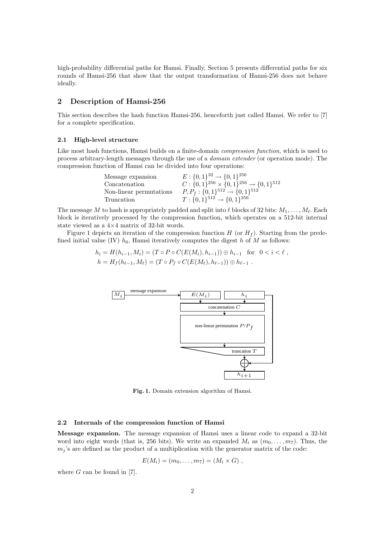high-probability differential paths for Hamsi. Finally, Section 5 presents differential paths for six rounds of Hamsi-256 that show that the output transformation of Hamsi-256 does not behave ideally.

## 2 Description of Hamsi-256

This section describes the hash function Hamsi-256, henceforth just called Hamsi. We refer to [7] for a complete specification.

#### 2.1 High-level structure

Like most hash functions, Hamsi builds on a finite-domain compression function, which is used to process arbitrary-length messages through the use of a domain extender (or operation mode). The compression function of Hamsi can be divided into four operations:

| Message expansion       | $E: \{0,1\}^{32} \rightarrow \{0,1\}^{256}$                       |
|-------------------------|-------------------------------------------------------------------|
| Concatenation           | $C: \{0,1\}^{256} \times \{0,1\}^{256} \rightarrow \{0,1\}^{512}$ |
| Non-linear permutations | $P, P_f: \{0,1\}^{512} \rightarrow \{0,1\}^{512}$                 |
| Truncation              | $T: \{0,1\}^{512} \rightarrow \{0,1\}^{256}$                      |

The message M to hash is appropriately padded and split into  $\ell$  blocks of 32 bits:  $M_1, \ldots, M_\ell$ . Each block is iteratively processed by the compression function, which operates on a 512-bit internal state viewed as a 4×4 matrix of 32-bit words.

Figure 1 depicts an iteration of the compression function  $H$  (or  $H_f$ ). Starting from the predefined initial value (IV)  $h_0$ , Hamsi iteratively computes the digest h of M as follows:

$$
h_i = H(h_{i-1}, M_i) = (T \circ P \circ C(E(M_i), h_{i-1})) \oplus h_{i-1} \text{ for } 0 < i < \ell ,
$$
  
\n
$$
h = H_f(h_{\ell-1}, M_{\ell}) = (T \circ P_f \circ C(E(M_{\ell}), h_{\ell-1})) \oplus h_{\ell-1} .
$$



Fig. 1. Domain extension algorithm of Hamsi.

## 2.2 Internals of the compression function of Hamsi

Message expansion. The message expansion of Hamsi uses a linear code to expand a 32-bit word into eight words (that is, 256 bits). We write an expanded  $M_i$  as  $(m_0, \ldots, m_7)$ . Thus, the  $m<sub>i</sub>$ 's are defined as the product of a multiplication with the generator matrix of the code:

$$
E(M_i)=(m_0,\ldots,m_7)=(M_i\times G)
$$
,

where  $G$  can be found in [7].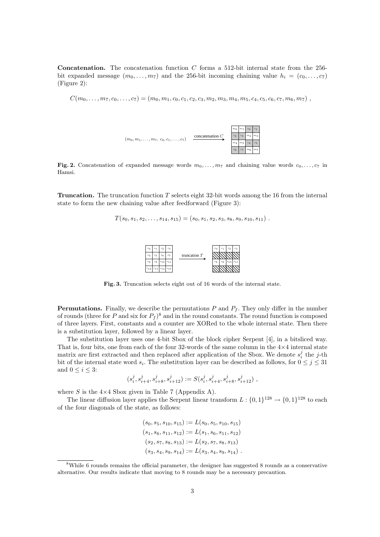**Concatenation.** The concatenation function  $C$  forms a 512-bit internal state from the 256bit expanded message  $(m_0, \ldots, m_7)$  and the 256-bit incoming chaining value  $h_i = (c_0, \ldots, c_7)$ (Figure 2):

 $C(m_0, \ldots, m_7, c_0, \ldots, c_7) = (m_0, m_1, c_0, c_1, c_2, c_3, m_2, m_3, m_4, m_5, c_4, c_5, c_6, c_7, m_6, m_7)$ 

|                                                  |                   | m <sub>0</sub> | m <sub>1</sub> |                | C <sub>1</sub> |
|--------------------------------------------------|-------------------|----------------|----------------|----------------|----------------|
|                                                  | concatenation $C$ | $c_2$          | $c_3$          | m <sub>2</sub> | m <sub>3</sub> |
| $(m_0, m_1, \ldots, m_7, c_0, c_1, \ldots, c_7)$ |                   | $m_A$          |                |                | $c_{5}$        |
|                                                  |                   | $c_6$          |                |                | $m_7$          |

Fig. 2. Concatenation of expanded message words  $m_0, \ldots, m_7$  and chaining value words  $c_0, \ldots, c_7$  in Hamsi.

**Truncation.** The truncation function  $T$  selects eight 32-bit words among the 16 from the internal state to form the new chaining value after feedforward (Figure 3):

 $T(s_0, s_1, s_2, \ldots, s_{14}, s_{15}) = (s_0, s_1, s_2, s_3, s_8, s_9, s_{10}, s_{11}).$ 



Fig. 3. Truncation selects eight out of 16 words of the internal state.

**Permutations.** Finally, we describe the permutations  $P$  and  $P_f$ . They only differ in the number of rounds (three for P and six for  $P_f$ )<sup>8</sup> and in the round constants. The round function is composed of three layers. First, constants and a counter are XORed to the whole internal state. Then there is a substitution layer, followed by a linear layer.

The substitution layer uses one 4-bit Sbox of the block cipher Serpent [4], in a bitsliced way. That is, four bits, one from each of the four 32-words of the same column in the  $4\times4$  internal state matrix are first extracted and then replaced after application of the Sbox. We denote  $s_i^j$  the j-th bit of the internal state word  $s_i$ . The substitution layer can be described as follows, for  $0 \leq j \leq 31$ and  $0 \leq i \leq 3$ :

$$
(s_i^j, s_{i+4}^j, s_{i+8}^j, s_{i+12}^j) := S(s_i^j, s_{i+4}^j, s_{i+8}^j, s_{i+12}^j) ,
$$

where S is the  $4\times4$  Sbox given in Table 7 (Appendix A).

The linear diffusion layer applies the Serpent linear transform  $L: \{0,1\}^{128} \to \{0,1\}^{128}$  to each of the four diagonals of the state, as follows:

$$
(s_0, s_5, s_{10}, s_{15}) := L(s_0, s_5, s_{10}, s_{15})
$$
  
\n
$$
(s_1, s_6, s_{11}, s_{12}) := L(s_1, s_6, s_{11}, s_{12})
$$
  
\n
$$
(s_2, s_7, s_8, s_{13}) := L(s_2, s_7, s_8, s_{13})
$$
  
\n
$$
(s_3, s_4, s_9, s_{14}) := L(s_3, s_4, s_9, s_{14}).
$$

<sup>8</sup>While 6 rounds remains the official parameter, the designer has suggested 8 rounds as a conservative alternative. Our results indicate that moving to 8 rounds may be a necessary precaution.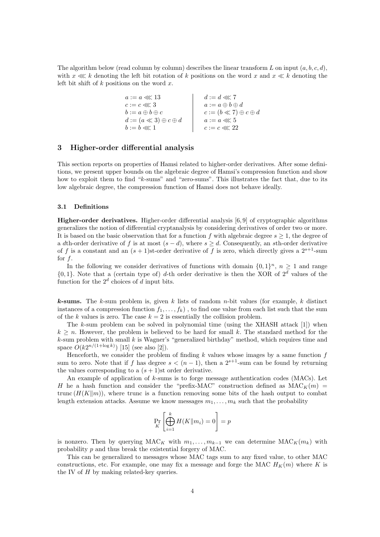The algorithm below (read column by column) describes the linear transform L on input  $(a, b, c, d)$ , with  $x \ll k$  denoting the left bit rotation of k positions on the word x and  $x \ll k$  denoting the left bit shift of  $k$  positions on the word  $x$ .

> $a := a \ll 13$   $d := d \ll 7$  $c := c \lll 3$   $a := a \oplus b \oplus d$  $b := a \oplus b \oplus c$   $c := (b \ll 7) \oplus c \oplus d$  $d := (a \ll 3) \oplus c \oplus d$  a :=  $a \ll 5$  $b := b \ll 1$  c := c  $\ll 22$

## 3 Higher-order differential analysis

This section reports on properties of Hamsi related to higher-order derivatives. After some definitions, we present upper bounds on the algebraic degree of Hamsi's compression function and show how to exploit them to find "k-sums" and "zero-sums". This illustrates the fact that, due to its low algebraic degree, the compression function of Hamsi does not behave ideally.

#### 3.1 Definitions

Higher-order derivatives. Higher-order differential analysis [6, 9] of cryptographic algorithms generalizes the notion of differential cryptanalysis by considering derivatives of order two or more. It is based on the basic observation that for a function f with algebraic degree  $s \geq 1$ , the degree of a dth-order derivative of f is at most  $(s - d)$ , where  $s \geq d$ . Consequently, an sth-order derivative of f is a constant and an  $(s + 1)$ st-order derivative of f is zero, which directly gives a  $2^{s+1}$ -sum for  $f$ .

In the following we consider derivatives of functions with domain  $\{0,1\}^n$ ,  $n \geq 1$  and range  $\{0,1\}$ . Note that a (certain type of) d-th order derivative is then the XOR of  $2^d$  values of the function for the  $2^d$  choices of d input bits.

**k-sums.** The k-sum problem is, given k lists of random n-bit values (for example, k distinct instances of a compression function  $f_1, \ldots, f_k$ , to find one value from each list such that the sum of the k values is zero. The case  $k = 2$  is essentially the collision problem.

The  $k$ -sum problem can be solved in polynomial time (using the XHASH attack [1]) when  $k \geq n$ . However, the problem is believed to be hard for small k. The standard method for the  $k$ -sum problem with small k is Wagner's "generalized birthday" method, which requires time and space  $O(k2^{n/(1+\log k)})$  [15] (see also [2]).

Henceforth, we consider the problem of finding  $k$  values whose images by a same function  $f$ sum to zero. Note that if f has degree  $s < (n-1)$ , then a  $2^{s+1}$ -sum can be found by returning the values corresponding to a  $(s + 1)$ st order derivative.

An example of application of  $k$ -sums is to forge message authentication codes (MACs). Let H he a hash function and consider the "prefix-MAC" construction defined as  $MAC_K(m)$  = trunc  $(H(K||m))$ , where trunc is a function removing some bits of the hash output to combat length extension attacks. Assume we know messages  $m_1, \ldots, m_k$  such that the probability

$$
\Pr_{K} \left[ \bigoplus_{i=1}^{k} H(K||m_i) = 0 \right] = p
$$

is nonzero. Then by querying  $MAC_K$  with  $m_1, \ldots, m_{k-1}$  we can determine  $MAC_K(m_k)$  with probability p and thus break the existential forgery of MAC.

This can be generalized to messages whose MAC tags sum to any fixed value, to other MAC constructions, etc. For example, one may fix a message and forge the MAC  $H_K(m)$  where K is the IV of H by making related-key queries.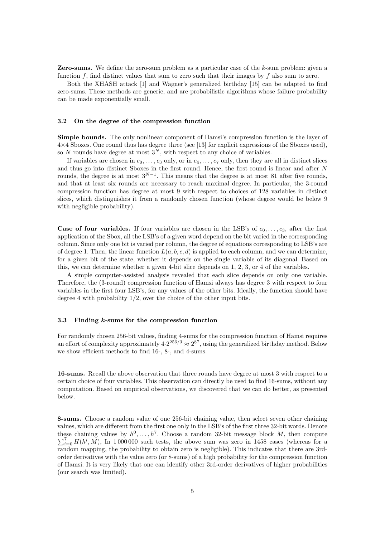Zero-sums. We define the zero-sum problem as a particular case of the k-sum problem: given a function f, find distinct values that sum to zero such that their images by f also sum to zero.

Both the XHASH attack [1] and Wagner's generalized birthday [15] can be adapted to find zero-sums. These methods are generic, and are probabilistic algorithms whose failure probability can be made exponentially small.

#### 3.2 On the degree of the compression function

Simple bounds. The only nonlinear component of Hamsi's compression function is the layer of 4×4 Sboxes. One round thus has degree three (see [13] for explicit expressions of the Sboxes used), so N rounds have degree at most  $3^N$ , with respect to any choice of variables.

If variables are chosen in  $c_0, \ldots, c_3$  only, or in  $c_4, \ldots, c_7$  only, then they are all in distinct slices and thus go into distinct Sboxes in the first round. Hence, the first round is linear and after N rounds, the degree is at most  $3^{N-1}$ . This means that the degree is at most 81 after five rounds, and that at least six rounds are necessary to reach maximal degree. In particular, the 3-round compression function has degree at most 9 with respect to choices of 128 variables in distinct slices, which distinguishes it from a randomly chosen function (whose degree would be below 9 with negligible probability).

**Case of four variables.** If four variables are chosen in the LSB's of  $c_0, \ldots, c_3$ , after the first application of the Sbox, all the LSB's of a given word depend on the bit varied in the corresponding column. Since only one bit is varied per column, the degree of equations corresponding to LSB's are of degree 1. Then, the linear function  $L(a, b, c, d)$  is applied to each column, and we can determine, for a given bit of the state, whether it depends on the single variable of its diagonal. Based on this, we can determine whether a given 4-bit slice depends on 1, 2, 3, or 4 of the variables.

A simple computer-assisted analysis revealed that each slice depends on only one variable. Therefore, the (3-round) compression function of Hamsi always has degree 3 with respect to four variables in the first four LSB's, for any values of the other bits. Ideally, the function should have degree 4 with probability 1/2, over the choice of the other input bits.

#### 3.3 Finding k-sums for the compression function

For randomly chosen 256-bit values, finding 4-sums for the compression function of Hamsi requires an effort of complexity approximately  $4 \cdot 2^{256/3} \approx 2^{87}$ , using the generalized birthday method. Below we show efficient methods to find 16-, 8-, and 4-sums.

16-sums. Recall the above observation that three rounds have degree at most 3 with respect to a certain choice of four variables. This observation can directly be used to find 16-sums, without any computation. Based on empirical observations, we discovered that we can do better, as presented below.

8-sums. Choose a random value of one 256-bit chaining value, then select seven other chaining values, which are different from the first one only in the LSB's of the first three 32-bit words. Denote these chaining values by  $h^0, \ldots, h^7$ . Choose a random 32-bit message block M, then compute  $\sum_{i=0}^{7} H(h^i, M)$ , In 1000000 such tests, the above sum was zero in 1458 cases (whereas for a random mapping, the probability to obtain zero is negligible). This indicates that there are 3rdorder derivatives with the value zero (or 8-sums) of a high probability for the compression function of Hamsi. It is very likely that one can identify other 3rd-order derivatives of higher probabilities (our search was limited).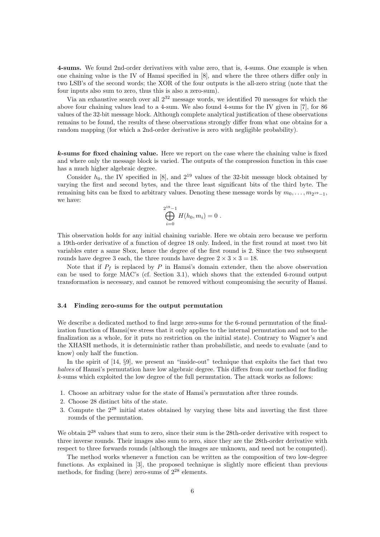4-sums. We found 2nd-order derivatives with value zero, that is, 4-sums. One example is when one chaining value is the IV of Hamsi specified in [8], and where the three others differ only in two LSB's of the second words; the XOR of the four outputs is the all-zero string (note that the four inputs also sum to zero, thus this is also a zero-sum).

Via an exhaustive search over all  $2^{32}$  message words, we identified 70 messages for which the above four chaining values lead to a 4-sum. We also found 4-sums for the IV given in [7], for 86 values of the 32-bit message block. Although complete analytical justification of these observations remains to be found, the results of these observations strongly differ from what one obtains for a random mapping (for which a 2nd-order derivative is zero with negligible probability).

k-sums for fixed chaining value. Here we report on the case where the chaining value is fixed and where only the message block is varied. The outputs of the compression function in this case has a much higher algebraic degree.

Consider  $h_0$ , the IV specified in [8], and  $2^{19}$  values of the 32-bit message block obtained by varying the first and second bytes, and the three least significant bits of the third byte. The remaining bits can be fixed to arbitrary values. Denoting these message words by  $m_0, \ldots, m_{2^{19}-1},$ we have:

$$
\bigoplus_{i=0}^{2^{19}-1} H(h_0, m_i) = 0.
$$

This observation holds for any initial chaining variable. Here we obtain zero because we perform a 19th-order derivative of a function of degree 18 only. Indeed, in the first round at most two bit variables enter a same Sbox, hence the degree of the first round is 2. Since the two subsequent rounds have degree 3 each, the three rounds have degree  $2 \times 3 \times 3 = 18$ .

Note that if  $P_f$  is replaced by P in Hamsi's domain extender, then the above observation can be used to forge MAC's (cf. Section 3.1), which shows that the extended 6-round output transformation is necessary, and cannot be removed without compromising the security of Hamsi.

#### 3.4 Finding zero-sums for the output permutation

We describe a dedicated method to find large zero-sums for the 6-round permutation of the finalization function of Hamsi(we stress that it only applies to the internal permutation and not to the finalization as a whole, for it puts no restriction on the initial state). Contrary to Wagner's and the XHASH methods, it is deterministic rather than probabilistic, and needs to evaluate (and to know) only half the function.

In the spirit of [14, §9], we present an "inside-out" technique that exploits the fact that two halves of Hamsi's permutation have low algebraic degree. This differs from our method for finding k-sums which exploited the low degree of the full permutation. The attack works as follows:

- 1. Choose an arbitrary value for the state of Hamsi's permutation after three rounds.
- 2. Choose 28 distinct bits of the state.
- 3. Compute the 2<sup>28</sup> initial states obtained by varying these bits and inverting the first three rounds of the permutation.

We obtain  $2^{28}$  values that sum to zero, since their sum is the 28th-order derivative with respect to three inverse rounds. Their images also sum to zero, since they are the 28th-order derivative with respect to three forwards rounds (although the images are unknown, and need not be computed).

The method works whenever a function can be written as the composition of two low-degree functions. As explained in [3], the proposed technique is slightly more efficient than previous methods, for finding (here) zero-sums of 2<sup>28</sup> elements.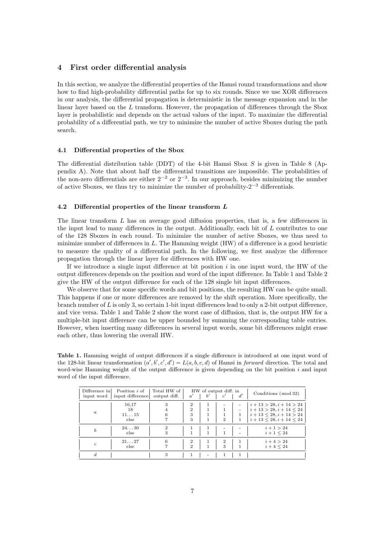### 4 First order differential analysis

In this section, we analyze the differential properties of the Hamsi round transformations and show how to find high-probability differential paths for up to six rounds. Since we use XOR differences in our analysis, the differential propagation is deterministic in the message expansion and in the linear layer based on the L transform. However, the propagation of differences through the Sbox layer is probabilistic and depends on the actual values of the input. To maximize the differential probability of a differential path, we try to minimize the number of active Sboxes during the path search.

#### 4.1 Differential properties of the Sbox

The differential distribution table (DDT) of the 4-bit Hamsi Sbox  $S$  is given in Table 8 (Appendix A). Note that about half the differential transitions are impossible. The probabilities of the non-zero differentials are either  $2^{-2}$  or  $2^{-3}$ . In our approach, besides minimizing the number of active Sboxes, we thus try to minimize the number of probability-2−<sup>3</sup> differentials.

#### 4.2 Differential properties of the linear transform L

The linear transform L has on average good diffusion properties, that is, a few differences in the input lead to many differences in the output. Additionally, each bit of L contributes to one of the 128 Sboxes in each round. To minimize the number of active Sboxes, we thus need to minimize number of differences in L. The Hamming weight (HW) of a difference is a good heuristic to measure the quality of a differential path. In the following, we first analyze the difference propagation through the linear layer for differences with HW one.

If we introduce a single input difference at bit position  $i$  in one input word, the HW of the output differences depends on the position and word of the input difference. In Table 1 and Table 2 give the HW of the output difference for each of the 128 single bit input differences.

We observe that for some specific words and bit positions, the resulting HW can be quite small. This happens if one or more differences are removed by the shift operation. More specifically, the branch number of L is only 3, so certain 1-bit input differences lead to only a 2-bit output difference, and vice versa. Table 1 and Table 2 show the worst case of diffusion, that is, the output HW for a multiple-bit input difference can be upper bounded by summing the corresponding table entries. However, when inserting many differences in several input words, some bit differences might erase each other, thus lowering the overall HW.

Table 1. Hamming weight of output differences if a single difference is introduced at one input word of the 128-bit linear transformation  $(a', b', c', d') = L(a, b, c, d)$  of Hamsi in forward direction. The total and word-wise Hamming weight of the output difference is given depending on the bit position  $i$  and input word of the input difference.

| Difference in<br>input word | Position <i>i</i> of<br>input difference | Total HW of<br>output diff. | a'                           | HW of output diff. in<br>$b^{\prime}$ | $\overline{c}$ | d' | Conditions (mod 32)                                                                                           |
|-----------------------------|------------------------------------------|-----------------------------|------------------------------|---------------------------------------|----------------|----|---------------------------------------------------------------------------------------------------------------|
| $\boldsymbol{a}$            | 16.17<br>18<br>1115<br>else              | 3<br>6                      | 2<br>$\mathcal{D}$<br>3<br>3 |                                       | $\mathfrak{D}$ |    | $i+13 > 28$ , $i+14 > 24$<br>$i+13 > 28$ , $i+14 < 24$<br>$i+13 \leq 28, i+14 > 24$<br>$i+13 < 28, i+14 < 24$ |
|                             | 24. 30<br>else                           | $\mathcal{D}$               |                              |                                       |                |    | $i + 1 > 24$<br>$i + 1 \leq 24$                                                                               |
| $\epsilon$                  | 21. 27<br>else                           | 6                           | $\mathcal{D}$                |                                       | 2<br>3         |    | $i + 4 > 24$<br>$i + 4 \leq 24$                                                                               |
|                             |                                          |                             |                              |                                       |                |    |                                                                                                               |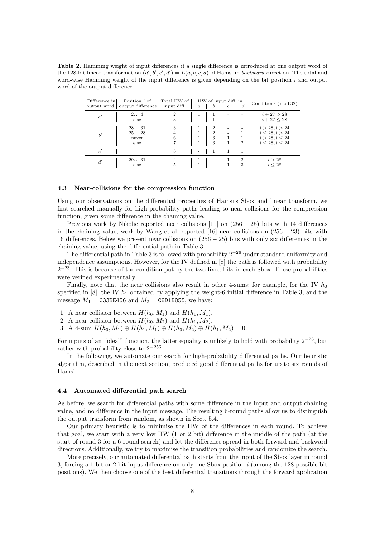Table 2. Hamming weight of input differences if a single difference is introduced at one output word of the 128-bit linear transformation  $(a', b', c', d') = L(a, b, c, d)$  of Hamsi in backward direction. The total and word-wise Hamming weight of the input difference is given depending on the bit position  $i$  and output word of the output difference.

| Difference in<br>output word | Position <i>i</i> of<br>output difference | Total HW of<br>input diff. | HW of input diff. in<br>Conditions (mod 32)<br>b<br>$\overline{a}$<br>$\overline{c}$<br>$\boldsymbol{d}$                                                 |
|------------------------------|-------------------------------------------|----------------------------|----------------------------------------------------------------------------------------------------------------------------------------------------------|
| $\mathfrak{a}$               | $2\ldots 4$<br>else                       | 2<br>3                     | $i + 27 > 28$<br>$i + 27 < 28$                                                                                                                           |
| h'                           | 2831<br>2528<br>never<br>else             | 3<br>4                     | $\overline{2}$<br>i > 28, i > 24<br>$\overline{2}$<br>$i \leq 28, i > 24$<br>3<br>1<br>$i > 28, i \leq 24$<br>3<br>$\overline{2}$<br>i < 28, i < 24<br>1 |
|                              |                                           | 3                          | ۰                                                                                                                                                        |
|                              | 2931<br>else                              | 4<br>5                     | i > 28<br>2<br>3<br>1<br>1<br>$i \leq 28$                                                                                                                |

#### 4.3 Near-collisions for the compression function

Using our observations on the differential properties of Hamsi's Sbox and linear transform, we first searched manually for high-probability paths leading to near-collisions for the compression function, given some difference in the chaining value.

Previous work by Nikolic reported near collisions [11] on  $(256 - 25)$  bits with 14 differences in the chaining value; work by Wang et al. reported [16] near collisions on  $(256 - 23)$  bits with 16 differences. Below we present near collisions on (256 − 25) bits with only six differences in the chaining value, using the differential path in Table 3.

The differential path in Table 3 is followed with probability  $2^{-26}$  under standard uniformity and independence assumptions. However, for the IV defined in [8] the path is followed with probability  $2^{-23}$ . This is because of the condition put by the two fixed bits in each Sbox. These probabilities were verified experimentally.

Finally, note that the near collisions also result in other 4-sums: for example, for the IV  $h_0$ specified in  $[8]$ , the IV  $h_1$  obtained by applying the weight-6 initial difference in Table 3, and the message  $M_1 =$  C33BE456 and  $M_2 =$  C8D1B855, we have:

- 1. A near collision between  $H(h_0, M_1)$  and  $H(h_1, M_1)$ .
- 2. A near collision between  $H(h_0, M_2)$  and  $H(h_1, M_2)$ .
- 3. A 4-sum  $H(h_0, M_1) \oplus H(h_1, M_1) \oplus H(h_0, M_2) \oplus H(h_1, M_2) = 0.$

For inputs of an "ideal" function, the latter equality is unlikely to hold with probability  $2^{-23}$ , but rather with probability close to  $2^{-256}$ .

In the following, we automate our search for high-probability differential paths. Our heuristic algorithm, described in the next section, produced good differential paths for up to six rounds of Hamsi.

#### 4.4 Automated differential path search

As before, we search for differential paths with some difference in the input and output chaining value, and no difference in the input message. The resulting 6-round paths allow us to distinguish the output transform from random, as shown in Sect. 5.4.

Our primary heuristic is to minimise the HW of the differences in each round. To achieve that goal, we start with a very low HW (1 or 2 bit) difference in the middle of the path (at the start of round 3 for a 6-round search) and let the difference spread in both forward and backward directions. Additionally, we try to maximise the transition probabilities and randomize the search.

More precisely, our automated differential path starts from the input of the Sbox layer in round 3, forcing a 1-bit or 2-bit input difference on only one Sbox position  $i$  (among the 128 possible bit positions). We then choose one of the best differential transitions through the forward application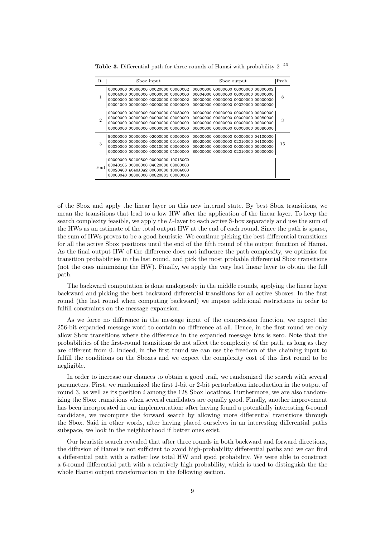| It.                  | Sbox input                                                                                                                                               | Sbox output                                                                                                                                              | Prob. |
|----------------------|----------------------------------------------------------------------------------------------------------------------------------------------------------|----------------------------------------------------------------------------------------------------------------------------------------------------------|-------|
| 1                    | 00000000 00000000 00020000 00000002<br>00004000 00000000 00000000 00000000<br>00000000 00000000 00020000 00000002<br>00004000 00000000 00000000 00000000 | 00000000 00000000 00000000 00000002<br>00004000 00000000 00000000 00000000<br>00000000 00000000 00000000 00000000<br>00000000 00000000 00020000 00000000 | 8     |
| $\overline{2}$       | 00000000 00000000 00000000 00080000<br>00000000 00000000 00000000 00000000<br>00000000 00000000 00000000 00000000<br>00000000 00000000 00000000 00000000 | 00000000 00000000 00000000 00000000<br>00000000 00000000 00000000 00080000<br>00000000 00000000 00000000 00000000<br>00000000 00000000 00000000 00080000 | 3     |
| 3                    | 80000000 00000000 02000000 00000000<br>00000000 00000000 00000000 00100000<br>00020000 00000000 00010000 00000000<br>00000000 00000000 00000000 04000000 | 00000000 00000000 00000000 04100000<br>80020000 00000000 02010000 04100000<br>00020000 00000000 00000000 00000000<br>80000000 00000000 02010000 00000000 | 15    |
| $\operatorname{End}$ | 00000000 80400800 00000000 10C130C0<br>00040105 00000000 04020000 08000000<br>00020400 A040A0A2 00000000 10004000<br>00000040 08000000 00820801 00000000 |                                                                                                                                                          |       |

Table 3. Differential path for three rounds of Hamsi with probability  $2^{-26}$ .

of the Sbox and apply the linear layer on this new internal state. By best Sbox transitions, we mean the transitions that lead to a low HW after the application of the linear layer. To keep the search complexity feasible, we apply the L-layer to each active S-box separately and use the sum of the HWs as an estimate of the total output HW at the end of each round. Since the path is sparse, the sum of HWs proves to be a good heuristic. We continue picking the best differential transitions for all the active Sbox positions until the end of the fifth round of the output function of Hamsi. As the final output HW of the difference does not influence the path complexity, we optimise for transition probabilities in the last round, and pick the most probable differential Sbox transitions (not the ones minimizing the HW). Finally, we apply the very last linear layer to obtain the full path.

The backward computation is done analogously in the middle rounds, applying the linear layer backward and picking the best backward differential transitions for all active Sboxes. In the first round (the last round when computing backward) we impose additional restrictions in order to fulfill constraints on the message expansion.

As we force no difference in the message input of the compression function, we expect the 256-bit expanded message word to contain no difference at all. Hence, in the first round we only allow Sbox transitions where the difference in the expanded message bits is zero. Note that the probabilities of the first-round transitions do not affect the complexity of the path, as long as they are different from 0. Indeed, in the first round we can use the freedom of the chaining input to fulfill the conditions on the Sboxes and we expect the complexity cost of this first round to be negligible.

In order to increase our chances to obtain a good trail, we randomized the search with several parameters. First, we randomized the first 1-bit or 2-bit perturbation introduction in the output of round 3, as well as its position  $i$  among the 128 Sbox locations. Furthermore, we are also randomizing the Sbox transitions when several candidates are equally good. Finally, another improvement has been incorporated in our implementation: after having found a potentially interesting 6-round candidate, we recompute the forward search by allowing more differential transitions through the Sbox. Said in other words, after having placed ourselves in an interesting differential paths subspace, we look in the neighborhood if better ones exist.

Our heuristic search revealed that after three rounds in both backward and forward directions, the diffusion of Hamsi is not sufficient to avoid high-probability differential paths and we can find a differential path with a rather low total HW and good probability. We were able to construct a 6-round differential path with a relatively high probability, which is used to distinguish the the whole Hamsi output transformation in the following section.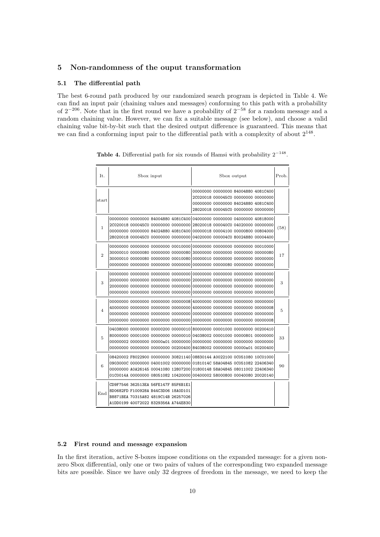## 5 Non-randomness of the ouput transformation

#### 5.1 The differential path

The best 6-round path produced by our randomized search program is depicted in Table 4. We can find an input pair (chaining values and messages) conforming to this path with a probability of  $2^{-206}$ . Note that in the first round we have a probability of  $2^{-58}$  for a random message and a random chaining value. However, we can fix a suitable message (see below), and choose a valid chaining value bit-by-bit such that the desired output difference is guaranteed. This means that we can find a conforming input pair to the differential path with a complexity of about  $2^{148}$ .

| It.            | Sbox input                                                                                                                                               | Sbox output                                                                                                                                                                                                                                                                                              | Prob. |
|----------------|----------------------------------------------------------------------------------------------------------------------------------------------------------|----------------------------------------------------------------------------------------------------------------------------------------------------------------------------------------------------------------------------------------------------------------------------------------------------------|-------|
| $_{\rm start}$ |                                                                                                                                                          | 00000000 00000000 84004880 4081C400<br>2C020018 000045C0 00000000 00000000<br>00000000 00000000 84024880 4081C400<br>28020018 000045C0 00000000 00000000                                                                                                                                                 |       |
| 1              |                                                                                                                                                          | 00000000 00000000 84004880 4081C400 04000000 00000000 04000000 40818000<br>20020018 00004500 00000000 00000000 28020018 00004000 04020000 00000000<br>00000000 00000000 84024880 4081C400 00000018 00004100 00000800 00804000<br>28020018 000045C0 00000000 00000000 04020000 000004C0 80024880 00004400 | (58)  |
| $\overline{2}$ |                                                                                                                                                          | 30000010 00000080 00000000 00000080 30000000 00000000 00000000 00000080<br>30000010 00000080 00000000 00010080 00000010 00000000 00000000 00000000                                                                                                                                                       | 17    |
| 3              |                                                                                                                                                          |                                                                                                                                                                                                                                                                                                          | 3     |
| 4              |                                                                                                                                                          | 00000000 00000000 00000000 00000008 40000000 00000000 00000000 00000000                                                                                                                                                                                                                                  | 5     |
| 5              |                                                                                                                                                          | 04038000 00000000 00000200 00000010 80000000 00001000 00000000 00200410<br>80000000 00001000 00000000 00000010 04038002 00001000 00000801 00000000<br>00000000 00000000 00000000 00200400 84038002 00000000 00000a01 00200400                                                                            | 33    |
| 6              |                                                                                                                                                          | 08420002 F8022900 00000000 30821140 08830144 A0022100 0C051080 10C01000<br>0903000C 00000000 04001002 00000000 0181014C 58A04845 0C051082 22406340<br>00000000 A0A26145 00041080 12807200 01800148 58A04845 08011002 22406340<br>01C0014A 00000000 08051082 10420000 00400002 58000800 00040080 20020140 | 90    |
| End            | CD9F7546 362513EA 56FE147F 85F6B1E1<br>8D0682FD F100928A B44C3D06 18A0D101<br>B8871BEA 70315A82 4819C14B 26257026<br>A1DD0199 40072022 8329356A A744E830 |                                                                                                                                                                                                                                                                                                          |       |

Table 4. Differential path for six rounds of Hamsi with probability  $2^{-148}$ .

## 5.2 First round and message expansion

In the first iteration, active S-boxes impose conditions on the expanded message: for a given nonzero Sbox differential, only one or two pairs of values of the corresponding two expanded message bits are possible. Since we have only 32 degrees of freedom in the message, we need to keep the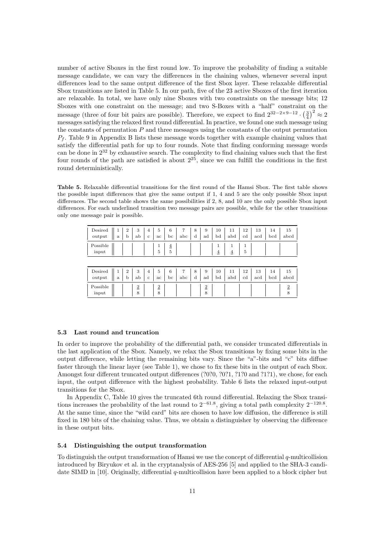number of active Sboxes in the first round low. To improve the probability of finding a suitable message candidate, we can vary the differences in the chaining values, whenever several input differences lead to the same output difference of the first Sbox layer. These relaxable differential Sbox transitions are listed in Table 5. In our path, five of the 23 active Sboxes of the first iteration are relaxable. In total, we have only nine Sboxes with two constraints on the message bits; 12 Sboxes with one constraint on the message; and two S-Boxes with a "half" constraint on the message (three of four bit pairs are possible). Therefore, we expect to find  $2^{32-2\times9-12} \cdot \left(\frac{3}{4}\right)^2 \approx 2$ messages satisfying the relaxed first round differential. In practice, we found one such message using the constants of permutation  $P$  and three messages using the constants of the output permutation  $P_f$ . Table 9 in Appendix B lists these message words together with example chaining values that satisfy the differential path for up to four rounds. Note that finding conforming message words can be done in  $2^{32}$  by exhaustive search. The complexity to find chaining values such that the first four rounds of the path are satisfied is about  $2^{25}$ , since we can fulfill the conditions in the first round deterministically.

Table 5. Relaxable differential transitions for the first round of the Hamsi Sbox. The first table shows the possible input differences that give the same output if 1, 4 and 5 are the only possible Sbox input differences. The second table shows the same possibilities if 2, 8, and 10 are the only possible Sbox input differences. For each underlined transition two message pairs are possible, while for the other transitions only one message pair is possible.

| Desired                 |  |                                                                    |  |  |                |                | $12$   $13$   $14$ | 15 |
|-------------------------|--|--------------------------------------------------------------------|--|--|----------------|----------------|--------------------|----|
| output<br>$\parallel$ a |  |                                                                    |  |  |                |                | bcd                |    |
| Possible                |  | $\begin{array}{c} \begin{array}{c} 1 \\ 5 \end{array} \end{array}$ |  |  |                |                |                    |    |
| input                   |  |                                                                    |  |  | $\overline{4}$ | $\overline{5}$ |                    |    |

| Possible  <br>input |  | $\begin{array}{ c c c c c }\n\hline\n8 & & & \& \end{array}$ |  |  | $\begin{array}{c} \frac{2}{8} \end{array}$ |  |  |  |
|---------------------|--|--------------------------------------------------------------|--|--|--------------------------------------------|--|--|--|

#### 5.3 Last round and truncation

In order to improve the probability of the differential path, we consider truncated differentials in the last application of the Sbox. Namely, we relax the Sbox transitions by fixing some bits in the output difference, while letting the remaining bits vary. Since the "a"-bits and "c" bits diffuse faster through the linear layer (see Table 1), we chose to fix these bits in the output of each Sbox. Amongst four different truncated output differences (?0?0, ?0?1, ?1?0 and ?1?1), we chose, for each input, the output difference with the highest probability. Table 6 lists the relaxed input-output transitions for the Sbox.

In Appendix C, Table 10 gives the truncated 6th round differential. Relaxing the Sbox transitions increases the probability of the last round to  $2^{-61.8}$ , giving a total path complexity  $2^{-120.8}$ . At the same time, since the "wild card" bits are chosen to have low diffusion, the difference is still fixed in 180 bits of the chaining value. Thus, we obtain a distinguisher by observing the difference in these output bits.

#### 5.4 Distinguishing the output transformation

To distinguish the output transformation of Hamsi we use the concept of differential q-multicollision introduced by Biryukov et al. in the cryptanalysis of AES-256 [5] and applied to the SHA-3 candidate SIMD in [10]. Originally, differential  $q$ -multicollision have been applied to a block cipher but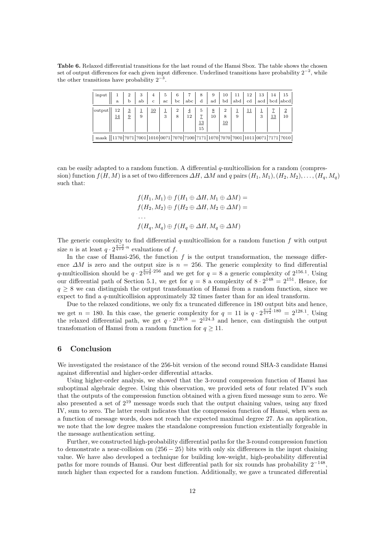Table 6. Relaxed differential transitions for the last round of the Hamsi Sbox. The table shows the chosen set of output differences for each given input difference. Underlined transitions have probability  $2^{-2}$ , while the other transitions have probability  $2^{-3}$ .

| mask   11?0 ?0?1 ?001 1010 00?1 ?0?0 ?100 ?1?1 10?0 ?0?0 ?001 1011 00?1 ?1?1 ?010 |  |  |  |  |  |  |  |  |
|-----------------------------------------------------------------------------------|--|--|--|--|--|--|--|--|

can be easily adapted to a random function. A differential  $q$ -multicollision for a random (compression) function  $f(H, M)$  is a set of two differences  $\Delta H$ ,  $\Delta M$  and q pairs  $(H_1, M_1), (H_2, M_2), \ldots, (H_q, M_q)$ such that:

$$
f(H_1, M_1) \oplus f(H_1 \oplus \Delta H, M_1 \oplus \Delta M) =
$$
  

$$
f(H_2, M_2) \oplus f(H_2 \oplus \Delta H, M_2 \oplus \Delta M) =
$$
  
...  

$$
f(H_q, M_q) \oplus f(H_q \oplus \Delta H, M_q \oplus \Delta M)
$$

The generic complexity to find differential  $q$ -multicollision for a random function  $f$  with output size *n* is at least  $q \cdot 2^{\frac{q-2}{q+2} \cdot n}$  evaluations of f.

In the case of Hamsi-256, the function  $f$  is the output transformation, the message difference  $\Delta M$  is zero and the output size is  $n = 256$ . The generic complexity to find differential q-multicollision should be  $q \cdot 2^{\frac{q-2}{q+2} \cdot 256}$  and we get for  $q = 8$  a generic complexity of  $2^{156.1}$ . Using our differential path of Section 5.1, we get for  $q = 8$  a complexity of  $8 \cdot 2^{148} = 2^{151}$ . Hence, for  $q \geq 8$  we can distinguish the output transfomation of Hamsi from a random function, since we expect to find a q-multicollision approximately 32 times faster than for an ideal transform.

Due to the relaxed conditions, we only fix a truncated difference in 180 output bits and hence, we get  $n = 180$ . In this case, the generic complexity for  $q = 11$  is  $q \cdot 2^{\frac{q-2}{q+2} \cdot 180} = 2^{128.1}$ . Using the relaxed differential path, we get  $q \cdot 2^{120.8} = 2^{124.3}$  and hence, can distinguish the output transfomation of Hamsi from a random function for  $q \ge 11$ .

## 6 Conclusion

We investigated the resistance of the 256-bit version of the second round SHA-3 candidate Hamsi against differential and higher-order differential attacks.

Using higher-order analysis, we showed that the 3-round compression function of Hamsi has suboptimal algebraic degree. Using this observation, we provided sets of four related IV's such that the outputs of the compression function obtained with a given fixed message sum to zero. We also presented a set of  $2^{19}$  message words such that the output chaining values, using any fixed IV, sum to zero. The latter result indicates that the compression function of Hamsi, when seen as a function of message words, does not reach the expected maximal degree 27. As an application, we note that the low degree makes the standalone compression function existentially forgeable in the message authentication setting.

Further, we constructed high-probability differential paths for the 3-round compression function to demonstrate a near-collision on  $(256 - 25)$  bits with only six differences in the input chaining value. We have also developed a technique for building low-weight, high-probability differential paths for more rounds of Hamsi. Our best differential path for six rounds has probability  $2^{-148}$ , much higher than expected for a random function. Additionally, we gave a truncated differential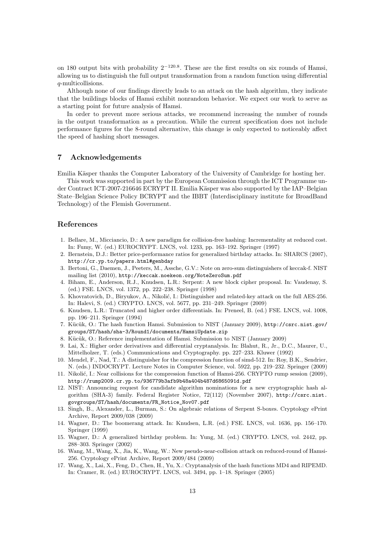on 180 output bits with probability  $2^{-120.8}$ . These are the first results on six rounds of Hamsi, allowing us to distinguish the full output transformation from a random function using differential q-multicollisions.

Although none of our findings directly leads to an attack on the hash algorithm, they indicate that the buildings blocks of Hamsi exhibit nonrandom behavior. We expect our work to serve as a starting point for future analysis of Hamsi.

In order to prevent more serious attacks, we recommend increasing the number of rounds in the output transformation as a precaution. While the current specification does not include performance figures for the 8-round alternative, this change is only expected to noticeably affect the speed of hashing short messages.

## 7 Acknowledgements

Emilia Käsper thanks the Computer Laboratory of the University of Cambridge for hosting her.

This work was supported in part by the European Commission through the ICT Programme under Contract ICT-2007-216646 ECRYPT II. Emilia Käsper was also supported by the IAP–Belgian State–Belgian Science Policy BCRYPT and the IBBT (Interdisciplinary institute for BroadBand Technology) of the Flemish Government.

### References

- 1. Bellare, M., Micciancio, D.: A new paradigm for collision-free hashing: Incrementality at reduced cost. In: Fumy, W. (ed.) EUROCRYPT. LNCS, vol. 1233, pp. 163–192. Springer (1997)
- 2. Bernstein, D.J.: Better price-performance ratios for generalized birthday attacks. In: SHARCS (2007), http://cr.yp.to/papers.html#genbday
- 3. Bertoni, G., Daemen, J., Peeters, M., Assche, G.V.: Note on zero-sum distinguishers of keccak-f. NIST mailing list (2010), http://keccak.noekeon.org/NoteZeroSum.pdf
- 4. Biham, E., Anderson, R.J., Knudsen, L.R.: Serpent: A new block cipher proposal. In: Vaudenay, S. (ed.) FSE. LNCS, vol. 1372, pp. 222–238. Springer (1998)
- 5. Khovratovich, D., Biryukov, A., Nikolić, I.: Distinguisher and related-key attack on the full AES-256. In: Halevi, S. (ed.) CRYPTO. LNCS, vol. 5677, pp. 231–249. Springer (2009)
- 6. Knudsen, L.R.: Truncated and higher order differentials. In: Preneel, B. (ed.) FSE. LNCS, vol. 1008, pp. 196–211. Springer (1994)
- 7. Kücük, O.: The hash function Hamsi. Submission to NIST (January 2009), http://csrc.nist.gov/ groups/ST/hash/sha-3/Round1/documents/HamsiUpdate.zip
- 8. Kücük, O.: Reference implementation of Hamsi. Submission to NIST (January 2009)
- 9. Lai, X.: Higher order derivatives and differential cryptanalysis. In: Blahut, R., Jr., D.C., Maurer, U., Mittelholzer, T. (eds.) Communications and Cryptography. pp. 227–233. Kluwer (1992)
- 10. Mendel, F., Nad, T.: A distinguisher for the compression function of simd-512. In: Roy, B.K., Sendrier, N. (eds.) INDOCRYPT. Lecture Notes in Computer Science, vol. 5922, pp. 219–232. Springer (2009)
- 11. Nikolić, I.: Near collisions for the compression function of Hamsi-256. CRYPTO rump session (2009), http://rump2009.cr.yp.to/936779b3afb9b48a404b487d6865091d.pdf
- 12. NIST: Announcing request for candidate algorithm nominations for a new cryptographic hash algorithm (SHA-3) family. Federal Register Notice, 72(112) (November 2007), http://csrc.nist. govgroups/ST/hash/documents/FR\_Notice\_Nov07.pdf
- 13. Singh, B., Alexander, L., Burman, S.: On algebraic relations of Serpent S-boxes. Cryptology ePrint Archive, Report 2009/038 (2009)
- 14. Wagner, D.: The boomerang attack. In: Knudsen, L.R. (ed.) FSE. LNCS, vol. 1636, pp. 156–170. Springer (1999)
- 15. Wagner, D.: A generalized birthday problem. In: Yung, M. (ed.) CRYPTO. LNCS, vol. 2442, pp. 288–303. Springer (2002)
- 16. Wang, M., Wang, X., Jia, K., Wang, W.: New pseudo-near-collision attack on reduced-round of Hamsi-256. Cryptology ePrint Archive, Report 2009/484 (2009)
- 17. Wang, X., Lai, X., Feng, D., Chen, H., Yu, X.: Cryptanalysis of the hash functions MD4 and RIPEMD. In: Cramer, R. (ed.) EUROCRYPT. LNCS, vol. 3494, pp. 1–18. Springer (2005)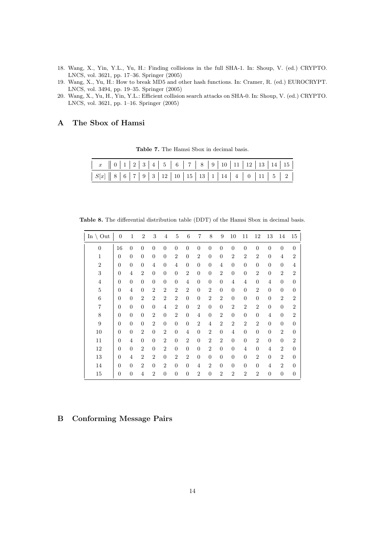- 18. Wang, X., Yin, Y.L., Yu, H.: Finding collisions in the full SHA-1. In: Shoup, V. (ed.) CRYPTO. LNCS, vol. 3621, pp. 17–36. Springer (2005)
- 19. Wang, X., Yu, H.: How to break MD5 and other hash functions. In: Cramer, R. (ed.) EUROCRYPT. LNCS, vol. 3494, pp. 19–35. Springer (2005)
- 20. Wang, X., Yu, H., Yin, Y.L.: Efficient collision search attacks on SHA-0. In: Shoup, V. (ed.) CRYPTO. LNCS, vol. 3621, pp. 1–16. Springer (2005)

## A The Sbox of Hamsi

Table 7. The Hamsi Sbox in decimal basis.

Table 8. The differential distribution table (DDT) of the Hamsi Sbox in decimal basis.

| In \ Out       | $\overline{0}$ | 1                | $\overline{2}$   | 3                | 4              | 5              | 6                | 7                | 8              | 9              | 10             | 11               | 12               | 13               | 14               | 15               |
|----------------|----------------|------------------|------------------|------------------|----------------|----------------|------------------|------------------|----------------|----------------|----------------|------------------|------------------|------------------|------------------|------------------|
| $\overline{0}$ | 16             | $\boldsymbol{0}$ | $\overline{0}$   | $\overline{0}$   | $\overline{0}$ | $\overline{0}$ | $\overline{0}$   | $\boldsymbol{0}$ | $\overline{0}$ | $\overline{0}$ | $\overline{0}$ | $\overline{0}$   | 0                | $\boldsymbol{0}$ | $\boldsymbol{0}$ | $\boldsymbol{0}$ |
| $\mathbf{1}$   | $\overline{0}$ | $\overline{0}$   | $\overline{0}$   | $\overline{0}$   | $\overline{0}$ | $\overline{2}$ | $\overline{0}$   | $\overline{2}$   | $\overline{0}$ | $\overline{0}$ | $\overline{2}$ | $\overline{2}$   | $\overline{2}$   | $\overline{0}$   | $\overline{4}$   | $\overline{2}$   |
| $\overline{2}$ | $\overline{0}$ | $\overline{0}$   | $\overline{0}$   | $\overline{4}$   | $\overline{0}$ | $\overline{4}$ | $\overline{0}$   | $\overline{0}$   | $\overline{0}$ | $\overline{4}$ | $\overline{0}$ | $\overline{0}$   | $\boldsymbol{0}$ | $\boldsymbol{0}$ | $\overline{0}$   | 4                |
| 3              | $\overline{0}$ | $\overline{4}$   | $\overline{2}$   | $\overline{0}$   | $\overline{0}$ | $\overline{0}$ | $\overline{2}$   | $\overline{0}$   | $\overline{0}$ | $\overline{2}$ | $\overline{0}$ | $\overline{0}$   | $\overline{2}$   | $\boldsymbol{0}$ | $\overline{2}$   | $\overline{2}$   |
| $\overline{4}$ | $\overline{0}$ | $\overline{0}$   | $\overline{0}$   | $\overline{0}$   | $\overline{0}$ | $\overline{0}$ | $\overline{4}$   | $\overline{0}$   | $\overline{0}$ | $\overline{0}$ | $\overline{4}$ | $\overline{4}$   | $\overline{0}$   | $\overline{4}$   | $\overline{0}$   | $\overline{0}$   |
| 5              | $\overline{0}$ | $\overline{4}$   | $\overline{0}$   | $\overline{2}$   | $\overline{2}$ | $\overline{2}$ | $\overline{2}$   | $\overline{0}$   | $\overline{2}$ | $\overline{0}$ | $\overline{0}$ | $\theta$         | $\overline{2}$   | $\overline{0}$   | $\overline{0}$   | $\theta$         |
| 6              | $\overline{0}$ | $\boldsymbol{0}$ | $\overline{2}$   | $\overline{2}$   | $\overline{2}$ | $\overline{2}$ | $\overline{0}$   | $\overline{0}$   | $\overline{2}$ | $\overline{2}$ | $\overline{0}$ | $\theta$         | $\boldsymbol{0}$ | $\overline{0}$   | $\overline{2}$   | $\overline{2}$   |
| $\overline{7}$ | $\overline{0}$ | $\overline{0}$   | $\overline{0}$   | $\theta$         | $\overline{4}$ | $\overline{2}$ | $\overline{0}$   | $\overline{2}$   | $\overline{0}$ | $\overline{0}$ | $\overline{2}$ | $\overline{2}$   | $\overline{2}$   | $\overline{0}$   | $\overline{0}$   | $\overline{2}$   |
| 8              | $\overline{0}$ | $\overline{0}$   | $\overline{0}$   | $\overline{2}$   | $\overline{0}$ | $\overline{2}$ | $\overline{0}$   | $\overline{4}$   | $\overline{0}$ | $\overline{2}$ | $\overline{0}$ | $\overline{0}$   | $\overline{0}$   | $\overline{4}$   | $\overline{0}$   | $\overline{2}$   |
| 9              | $\overline{0}$ | $\boldsymbol{0}$ | $\boldsymbol{0}$ | $\overline{2}$   | $\overline{0}$ | $\overline{0}$ | $\boldsymbol{0}$ | $\overline{2}$   | $\overline{4}$ | $\overline{2}$ | $\overline{2}$ | $\overline{2}$   | $\overline{2}$   | $\boldsymbol{0}$ | $\overline{0}$   | $\Omega$         |
| 10             | $\overline{0}$ | $\overline{0}$   | $\overline{2}$   | $\boldsymbol{0}$ | $\overline{2}$ | $\overline{0}$ | 4                | $\overline{0}$   | $\overline{2}$ | $\overline{0}$ | $\overline{4}$ | $\boldsymbol{0}$ | $\boldsymbol{0}$ | $\boldsymbol{0}$ | $\overline{2}$   | $\overline{0}$   |
| 11             | $\overline{0}$ | $\overline{4}$   | $\boldsymbol{0}$ | $\overline{0}$   | $\overline{2}$ | $\overline{0}$ | $\overline{2}$   | $\boldsymbol{0}$ | $\overline{2}$ | $\overline{2}$ | $\overline{0}$ | $\overline{0}$   | $\overline{2}$   | $\boldsymbol{0}$ | $\boldsymbol{0}$ | $\overline{2}$   |
| 12             | $\overline{0}$ | $\overline{0}$   | $\overline{2}$   | $\overline{0}$   | $\overline{2}$ | $\overline{0}$ | $\overline{0}$   | $\overline{0}$   | $\overline{2}$ | $\overline{0}$ | $\overline{0}$ | $\overline{4}$   | $\overline{0}$   | $\overline{4}$   | $\overline{2}$   | $\overline{0}$   |
| 13             | $\overline{0}$ | $\overline{4}$   | $\overline{2}$   | $\overline{2}$   | $\overline{0}$ | $\overline{2}$ | $\overline{2}$   | $\overline{0}$   | $\overline{0}$ | $\overline{0}$ | $\overline{0}$ | $\overline{0}$   | $\overline{2}$   | $\boldsymbol{0}$ | $\overline{2}$   | $\overline{0}$   |
| 14             | $\overline{0}$ | $\overline{0}$   | $\overline{2}$   | $\theta$         | $\overline{2}$ | $\overline{0}$ | $\overline{0}$   | $\overline{4}$   | $\overline{2}$ | $\overline{0}$ | $\overline{0}$ | $\overline{0}$   | $\overline{0}$   | $\overline{4}$   | $\overline{2}$   | $\theta$         |
| 15             | $\overline{0}$ | $\overline{0}$   | $\overline{4}$   | $\overline{2}$   | $\overline{0}$ | $\overline{0}$ | $\overline{0}$   | $\overline{2}$   | $\overline{0}$ | $\overline{2}$ | $\overline{2}$ | $\overline{2}$   | $\overline{2}$   | $\theta$         | $\overline{0}$   | $\theta$         |

## B Conforming Message Pairs